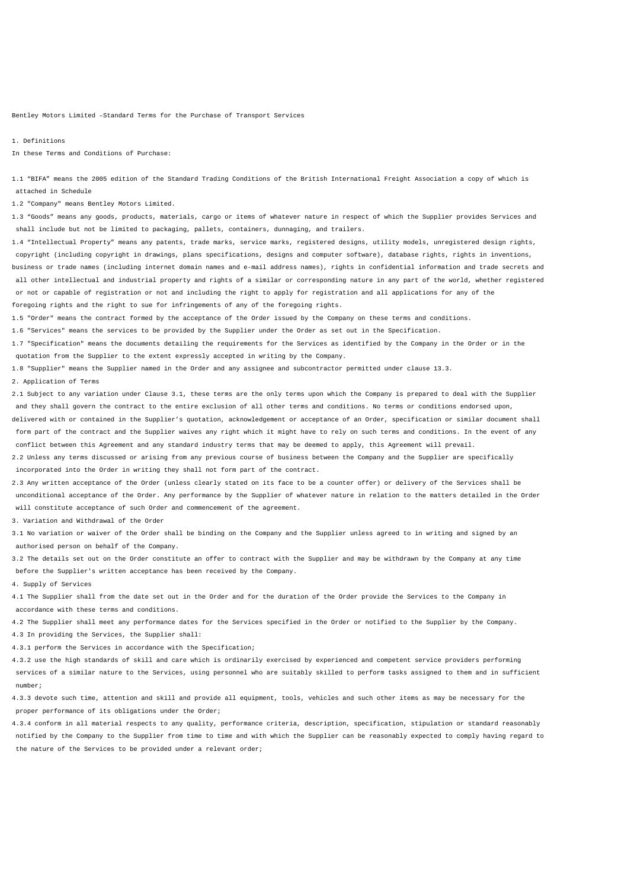Bentley Motors Limited –Standard Terms for the Purchase of Transport Services

1. Definitions

In these Terms and Conditions of Purchase:

1.1 "BIFA" means the 2005 edition of the Standard Trading Conditions of the British International Freight Association a copy of which is attached in Schedule

1.2 "Company" means Bentley Motors Limited.

1.3 "Goods" means any goods, products, materials, cargo or items of whatever nature in respect of which the Supplier provides Services and shall include but not be limited to packaging, pallets, containers, dunnaging, and trailers.

1.4 "Intellectual Property" means any patents, trade marks, service marks, registered designs, utility models, unregistered design rights, copyright (including copyright in drawings, plans specifications, designs and computer software), database rights, rights in inventions, business or trade names (including internet domain names and e-mail address names), rights in confidential information and trade secrets and all other intellectual and industrial property and rights of a similar or corresponding nature in any part of the world, whether registered or not or capable of registration or not and including the right to apply for registration and all applications for any of the foregoing rights and the right to sue for infringements of any of the foregoing rights.

1.5 "Order" means the contract formed by the acceptance of the Order issued by the Company on these terms and conditions.

1.6 "Services" means the services to be provided by the Supplier under the Order as set out in the Specification.

1.7 "Specification" means the documents detailing the requirements for the Services as identified by the Company in the Order or in the quotation from the Supplier to the extent expressly accepted in writing by the Company.

1.8 "Supplier" means the Supplier named in the Order and any assignee and subcontractor permitted under clause 13.3.

2. Application of Terms

2.1 Subject to any variation under Clause 3.1, these terms are the only terms upon which the Company is prepared to deal with the Supplier and they shall govern the contract to the entire exclusion of all other terms and conditions. No terms or conditions endorsed upon, delivered with or contained in the Supplier's quotation, acknowledgement or acceptance of an Order, specification or similar document shall form part of the contract and the Supplier waives any right which it might have to rely on such terms and conditions. In the event of any conflict between this Agreement and any standard industry terms that may be deemed to apply, this Agreement will prevail.

2.2 Unless any terms discussed or arising from any previous course of business between the Company and the Supplier are specifically incorporated into the Order in writing they shall not form part of the contract.

2.3 Any written acceptance of the Order (unless clearly stated on its face to be a counter offer) or delivery of the Services shall be unconditional acceptance of the Order. Any performance by the Supplier of whatever nature in relation to the matters detailed in the Order will constitute acceptance of such Order and commencement of the agreement.

3. Variation and Withdrawal of the Order

3.1 No variation or waiver of the Order shall be binding on the Company and the Supplier unless agreed to in writing and signed by an authorised person on behalf of the Company.

3.2 The details set out on the Order constitute an offer to contract with the Supplier and may be withdrawn by the Company at any time before the Supplier's written acceptance has been received by the Company.

4. Supply of Services

4.1 The Supplier shall from the date set out in the Order and for the duration of the Order provide the Services to the Company in accordance with these terms and conditions.

4.2 The Supplier shall meet any performance dates for the Services specified in the Order or notified to the Supplier by the Company.

4.3 In providing the Services, the Supplier shall:

4.3.1 perform the Services in accordance with the Specification;

4.3.2 use the high standards of skill and care which is ordinarily exercised by experienced and competent service providers performing services of a similar nature to the Services, using personnel who are suitably skilled to perform tasks assigned to them and in sufficient number;

4.3.3 devote such time, attention and skill and provide all equipment, tools, vehicles and such other items as may be necessary for the proper performance of its obligations under the Order;

4.3.4 conform in all material respects to any quality, performance criteria, description, specification, stipulation or standard reasonably notified by the Company to the Supplier from time to time and with which the Supplier can be reasonably expected to comply having regard to the nature of the Services to be provided under a relevant order;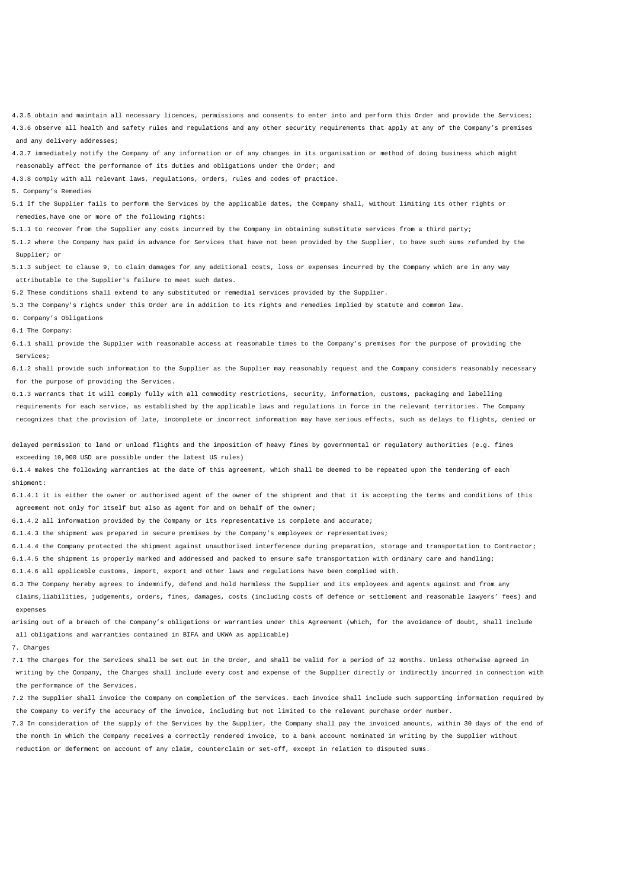4.3.5 obtain and maintain all necessary licences, permissions and consents to enter into and perform this Order and provide the Services; 4.3.6 observe all health and safety rules and regulations and any other security requirements that apply at any of the Company's premises and any delivery addresses;

4.3.7 immediately notify the Company of any information or of any changes in its organisation or method of doing business which might reasonably affect the performance of its duties and obligations under the Order; and

4.3.8 comply with all relevant laws, regulations, orders, rules and codes of practice.

5. Company's Remedies

5.1 If the Supplier fails to perform the Services by the applicable dates, the Company shall, without limiting its other rights or remedies,have one or more of the following rights:

5.1.1 to recover from the Supplier any costs incurred by the Company in obtaining substitute services from a third party;

5.1.2 where the Company has paid in advance for Services that have not been provided by the Supplier, to have such sums refunded by the Supplier; or

5.1.3 subject to clause 9, to claim damages for any additional costs, loss or expenses incurred by the Company which are in any way attributable to the Supplier's failure to meet such dates.

5.2 These conditions shall extend to any substituted or remedial services provided by the Supplier.

5.3 The Company's rights under this Order are in addition to its rights and remedies implied by statute and common law.

6. Company's Obligations

6.1 The Company:

6.1.1 shall provide the Supplier with reasonable access at reasonable times to the Company's premises for the purpose of providing the Services;

6.1.2 shall provide such information to the Supplier as the Supplier may reasonably request and the Company considers reasonably necessary for the purpose of providing the Services.

6.1.3 warrants that it will comply fully with all commodity restrictions, security, information, customs, packaging and labelling requirements for each service, as established by the applicable laws and regulations in force in the relevant territories. The Company recognizes that the provision of late, incomplete or incorrect information may have serious effects, such as delays to flights, denied or

delayed permission to land or unload flights and the imposition of heavy fines by governmental or regulatory authorities (e.g. fines exceeding 10,000 USD are possible under the latest US rules)

6.1.4 makes the following warranties at the date of this agreement, which shall be deemed to be repeated upon the tendering of each shipment:

6.1.4.1 it is either the owner or authorised agent of the owner of the shipment and that it is accepting the terms and conditions of this agreement not only for itself but also as agent for and on behalf of the owner;

6.1.4.2 all information provided by the Company or its representative is complete and accurate;

6.1.4.3 the shipment was prepared in secure premises by the Company's employees or representatives;

6.1.4.4 the Company protected the shipment against unauthorised interference during preparation, storage and transportation to Contractor;

6.1.4.5 the shipment is properly marked and addressed and packed to ensure safe transportation with ordinary care and handling;

6.1.4.6 all applicable customs, import, export and other laws and regulations have been complied with.

6.3 The Company hereby agrees to indemnify, defend and hold harmless the Supplier and its employees and agents against and from any claims,liabilities, judgements, orders, fines, damages, costs (including costs of defence or settlement and reasonable lawyers' fees) and expenses

arising out of a breach of the Company's obligations or warranties under this Agreement (which, for the avoidance of doubt, shall include all obligations and warranties contained in BIFA and UKWA as applicable)

7. Charges

7.1 The Charges for the Services shall be set out in the Order, and shall be valid for a period of 12 months. Unless otherwise agreed in writing by the Company, the Charges shall include every cost and expense of the Supplier directly or indirectly incurred in connection with the performance of the Services.

7.2 The Supplier shall invoice the Company on completion of the Services. Each invoice shall include such supporting information required by the Company to verify the accuracy of the invoice, including but not limited to the relevant purchase order number.

7.3 In consideration of the supply of the Services by the Supplier, the Company shall pay the invoiced amounts, within 30 days of the end of the month in which the Company receives a correctly rendered invoice, to a bank account nominated in writing by the Supplier without reduction or deferment on account of any claim, counterclaim or set-off, except in relation to disputed sums.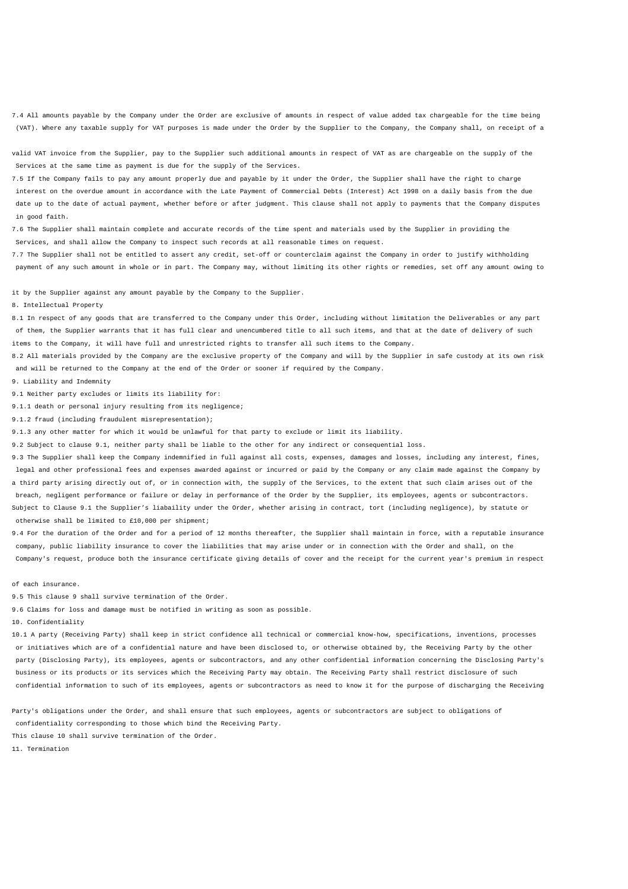7.4 All amounts payable by the Company under the Order are exclusive of amounts in respect of value added tax chargeable for the time being (VAT). Where any taxable supply for VAT purposes is made under the Order by the Supplier to the Company, the Company shall, on receipt of a

valid VAT invoice from the Supplier, pay to the Supplier such additional amounts in respect of VAT as are chargeable on the supply of the Services at the same time as payment is due for the supply of the Services.

7.5 If the Company fails to pay any amount properly due and payable by it under the Order, the Supplier shall have the right to charge interest on the overdue amount in accordance with the Late Payment of Commercial Debts (Interest) Act 1998 on a daily basis from the due date up to the date of actual payment, whether before or after judgment. This clause shall not apply to payments that the Company disputes in good faith.

7.6 The Supplier shall maintain complete and accurate records of the time spent and materials used by the Supplier in providing the Services, and shall allow the Company to inspect such records at all reasonable times on request.

7.7 The Supplier shall not be entitled to assert any credit, set-off or counterclaim against the Company in order to justify withholding payment of any such amount in whole or in part. The Company may, without limiting its other rights or remedies, set off any amount owing to

it by the Supplier against any amount payable by the Company to the Supplier.

8. Intellectual Property

8.1 In respect of any goods that are transferred to the Company under this Order, including without limitation the Deliverables or any part of them, the Supplier warrants that it has full clear and unencumbered title to all such items, and that at the date of delivery of such items to the Company, it will have full and unrestricted rights to transfer all such items to the Company.

8.2 All materials provided by the Company are the exclusive property of the Company and will by the Supplier in safe custody at its own risk and will be returned to the Company at the end of the Order or sooner if required by the Company.

9. Liability and Indemnity

9.1 Neither party excludes or limits its liability for:

9.1.1 death or personal injury resulting from its negligence;

9.1.2 fraud (including fraudulent misrepresentation);

9.1.3 any other matter for which it would be unlawful for that party to exclude or limit its liability.

9.2 Subject to clause 9.1, neither party shall be liable to the other for any indirect or consequential loss.

9.3 The Supplier shall keep the Company indemnified in full against all costs, expenses, damages and losses, including any interest, fines, legal and other professional fees and expenses awarded against or incurred or paid by the Company or any claim made against the Company by a third party arising directly out of, or in connection with, the supply of the Services, to the extent that such claim arises out of the breach, negligent performance or failure or delay in performance of the Order by the Supplier, its employees, agents or subcontractors. Subject to Clause 9.1 the Supplier's liabaility under the Order, whether arising in contract, tort (including negligence), by statute or otherwise shall be limited to £10,000 per shipment;

9.4 For the duration of the Order and for a period of 12 months thereafter, the Supplier shall maintain in force, with a reputable insurance company, public liability insurance to cover the liabilities that may arise under or in connection with the Order and shall, on the Company's request, produce both the insurance certificate giving details of cover and the receipt for the current year's premium in respect

of each insurance.

9.5 This clause 9 shall survive termination of the Order.

9.6 Claims for loss and damage must be notified in writing as soon as possible.

10. Confidentiality

10.1 A party (Receiving Party) shall keep in strict confidence all technical or commercial know-how, specifications, inventions, processes or initiatives which are of a confidential nature and have been disclosed to, or otherwise obtained by, the Receiving Party by the other party (Disclosing Party), its employees, agents or subcontractors, and any other confidential information concerning the Disclosing Party's business or its products or its services which the Receiving Party may obtain. The Receiving Party shall restrict disclosure of such confidential information to such of its employees, agents or subcontractors as need to know it for the purpose of discharging the Receiving

Party's obligations under the Order, and shall ensure that such employees, agents or subcontractors are subject to obligations of confidentiality corresponding to those which bind the Receiving Party.

This clause 10 shall survive termination of the Order.

11. Termination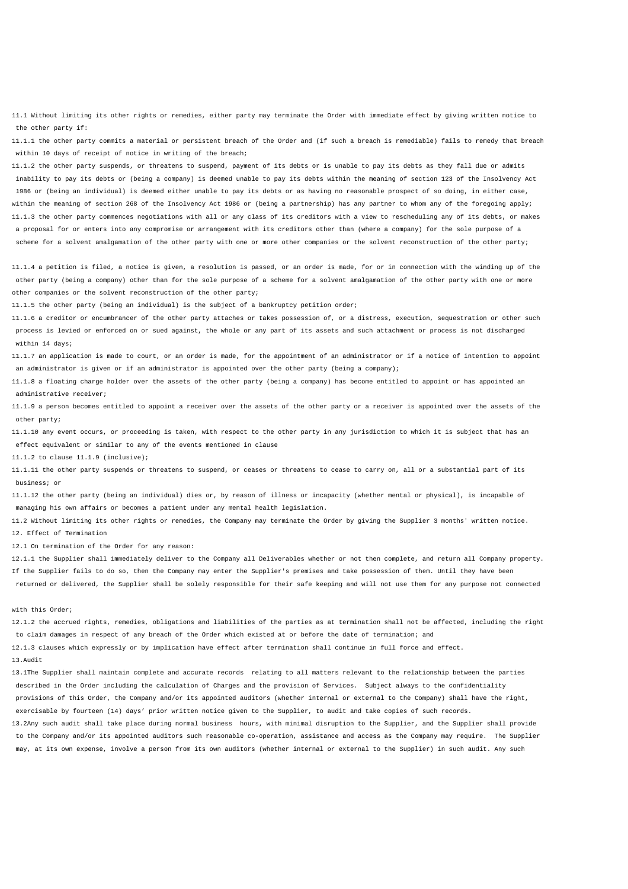11.1 Without limiting its other rights or remedies, either party may terminate the Order with immediate effect by giving written notice to the other party if:

11.1.1 the other party commits a material or persistent breach of the Order and (if such a breach is remediable) fails to remedy that breach within 10 days of receipt of notice in writing of the breach;

11.1.2 the other party suspends, or threatens to suspend, payment of its debts or is unable to pay its debts as they fall due or admits inability to pay its debts or (being a company) is deemed unable to pay its debts within the meaning of section 123 of the Insolvency Act 1986 or (being an individual) is deemed either unable to pay its debts or as having no reasonable prospect of so doing, in either case, within the meaning of section 268 of the Insolvency Act 1986 or (being a partnership) has any partner to whom any of the foregoing apply; 11.1.3 the other party commences negotiations with all or any class of its creditors with a view to rescheduling any of its debts, or makes a proposal for or enters into any compromise or arrangement with its creditors other than (where a company) for the sole purpose of a scheme for a solvent amalgamation of the other party with one or more other companies or the solvent reconstruction of the other party;

11.1.4 a petition is filed, a notice is given, a resolution is passed, or an order is made, for or in connection with the winding up of the other party (being a company) other than for the sole purpose of a scheme for a solvent amalgamation of the other party with one or more other companies or the solvent reconstruction of the other party;

11.1.5 the other party (being an individual) is the subject of a bankruptcy petition order;

11.1.6 a creditor or encumbrancer of the other party attaches or takes possession of, or a distress, execution, sequestration or other such process is levied or enforced on or sued against, the whole or any part of its assets and such attachment or process is not discharged within 14 days;

11.1.7 an application is made to court, or an order is made, for the appointment of an administrator or if a notice of intention to appoint an administrator is given or if an administrator is appointed over the other party (being a company);

11.1.8 a floating charge holder over the assets of the other party (being a company) has become entitled to appoint or has appointed an administrative receiver;

11.1.9 a person becomes entitled to appoint a receiver over the assets of the other party or a receiver is appointed over the assets of the other party;

11.1.10 any event occurs, or proceeding is taken, with respect to the other party in any jurisdiction to which it is subject that has an effect equivalent or similar to any of the events mentioned in clause

11.1.2 to clause 11.1.9 (inclusive);

11.1.11 the other party suspends or threatens to suspend, or ceases or threatens to cease to carry on, all or a substantial part of its business; or

11.1.12 the other party (being an individual) dies or, by reason of illness or incapacity (whether mental or physical), is incapable of managing his own affairs or becomes a patient under any mental health legislation.

11.2 Without limiting its other rights or remedies, the Company may terminate the Order by giving the Supplier 3 months' written notice. 12. Effect of Termination

12.1 On termination of the Order for any reason:

12.1.1 the Supplier shall immediately deliver to the Company all Deliverables whether or not then complete, and return all Company property. If the Supplier fails to do so, then the Company may enter the Supplier's premises and take possession of them. Until they have been returned or delivered, the Supplier shall be solely responsible for their safe keeping and will not use them for any purpose not connected

## with this Order;

12.1.2 the accrued rights, remedies, obligations and liabilities of the parties as at termination shall not be affected, including the right to claim damages in respect of any breach of the Order which existed at or before the date of termination; and

12.1.3 clauses which expressly or by implication have effect after termination shall continue in full force and effect.

## 13. Audit

13.1 The Supplier shall maintain complete and accurate records relating to all matters relevant to the relationship between the parties described in the Order including the calculation of Charges and the provision of Services. Subject always to the confidentiality provisions of this Order, the Company and/or its appointed auditors (whether internal or external to the Company) shall have the right, exercisable by fourteen (14) days' prior written notice given to the Supplier, to audit and take copies of such records.

13.2 Any such audit shall take place during normal business hours, with minimal disruption to the Supplier, and the Supplier shall provide to the Company and/or its appointed auditors such reasonable co-operation, assistance and access as the Company may require. The Supplier may, at its own expense, involve a person from its own auditors (whether internal or external to the Supplier) in such audit. Any such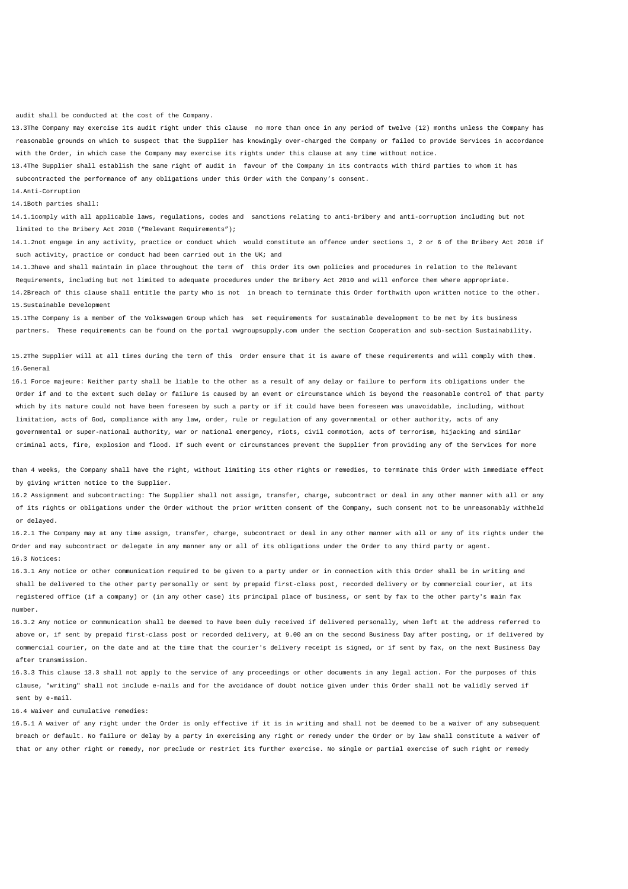audit shall be conducted at the cost of the Company.

13.3 The Company may exercise its audit right under this clause no more than once in any period of twelve (12) months unless the Company has reasonable grounds on which to suspect that the Supplier has knowingly over-charged the Company or failed to provide Services in accordance with the Order, in which case the Company may exercise its rights under this clause at any time without notice.

13.4 The Supplier shall establish the same right of audit in favour of the Company in its contracts with third parties to whom it has subcontracted the performance of any obligations under this Order with the Company's consent.

14. Anti-Corruption

14.1 Both parties shall:

14.1.1 comply with all applicable laws, regulations, codes and sanctions relating to anti-bribery and anti-corruption including but not limited to the Bribery Act 2010 ("Relevant Requirements");

14.1.2 not engage in any activity, practice or conduct which would constitute an offence under sections 1, 2 or 6 of the Bribery Act 2010 if such activity, practice or conduct had been carried out in the UK; and

14.1.3 have and shall maintain in place throughout the term of this Order its own policies and procedures in relation to the Relevant Requirements, including but not limited to adequate procedures under the Bribery Act 2010 and will enforce them where appropriate. 14.2 Breach of this clause shall entitle the party who is not in breach to terminate this Order forthwith upon written notice to the other. 15. Sustainable Development

15.1 The Company is a member of the Volkswagen Group which has set requirements for sustainable development to be met by its business partners. These requirements can be found on the portal vwgroupsupply.com under the section Cooperation and sub-section Sustainability.

15.2 The Supplier will at all times during the term of this Order ensure that it is aware of these requirements and will comply with them. 16. General

16.1 Force majeure: Neither party shall be liable to the other as a result of any delay or failure to perform its obligations under the Order if and to the extent such delay or failure is caused by an event or circumstance which is beyond the reasonable control of that party which by its nature could not have been foreseen by such a party or if it could have been foreseen was unavoidable, including, without limitation, acts of God, compliance with any law, order, rule or regulation of any governmental or other authority, acts of any governmental or super-national authority, war or national emergency, riots, civil commotion, acts of terrorism, hijacking and similar criminal acts, fire, explosion and flood. If such event or circumstances prevent the Supplier from providing any of the Services for more

than 4 weeks, the Company shall have the right, without limiting its other rights or remedies, to terminate this Order with immediate effect by giving written notice to the Supplier.

16.2 Assignment and subcontracting: The Supplier shall not assign, transfer, charge, subcontract or deal in any other manner with all or any of its rights or obligations under the Order without the prior written consent of the Company, such consent not to be unreasonably withheld or delayed.

16.2.1 The Company may at any time assign, transfer, charge, subcontract or deal in any other manner with all or any of its rights under the Order and may subcontract or delegate in any manner any or all of its obligations under the Order to any third party or agent. 16.3 Notices:

16.3.1 Any notice or other communication required to be given to a party under or in connection with this Order shall be in writing and shall be delivered to the other party personally or sent by prepaid first-class post, recorded delivery or by commercial courier, at its registered office (if a company) or (in any other case) its principal place of business, or sent by fax to the other party's main fax number.

16.3.2 Any notice or communication shall be deemed to have been duly received if delivered personally, when left at the address referred to above or, if sent by prepaid first-class post or recorded delivery, at 9.00 am on the second Business Day after posting, or if delivered by commercial courier, on the date and at the time that the courier's delivery receipt is signed, or if sent by fax, on the next Business Day after transmission.

16.3.3 This clause 13.3 shall not apply to the service of any proceedings or other documents in any legal action. For the purposes of this clause, "writing" shall not include e-mails and for the avoidance of doubt notice given under this Order shall not be validly served if sent by e-mail.

16.4 Waiver and cumulative remedies:

16.5.1 A waiver of any right under the Order is only effective if it is in writing and shall not be deemed to be a waiver of any subsequent breach or default. No failure or delay by a party in exercising any right or remedy under the Order or by law shall constitute a waiver of that or any other right or remedy, nor preclude or restrict its further exercise. No single or partial exercise of such right or remedy